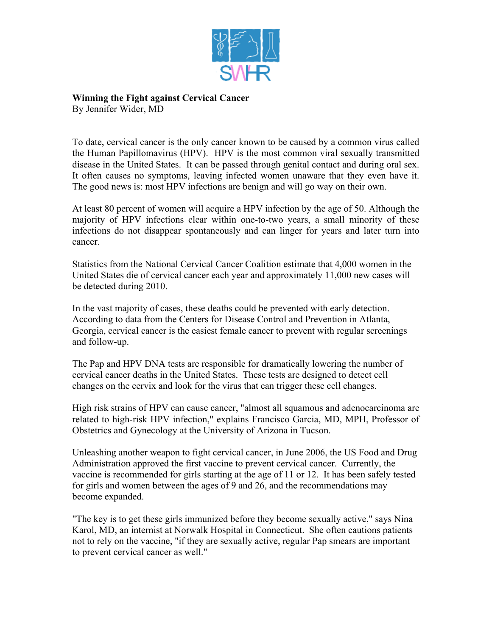

**Winning the Fight against Cervical Cancer** 

By Jennifer Wider, MD

To date, cervical cancer is the only cancer known to be caused by a common virus called the Human Papillomavirus (HPV). HPV is the most common viral sexually transmitted disease in the United States. It can be passed through genital contact and during oral sex. It often causes no symptoms, leaving infected women unaware that they even have it. The good news is: most HPV infections are benign and will go way on their own.

At least 80 percent of women will acquire a HPV infection by the age of 50. Although the majority of HPV infections clear within one-to-two years, a small minority of these infections do not disappear spontaneously and can linger for years and later turn into cancer.

Statistics from the National Cervical Cancer Coalition estimate that 4,000 women in the United States die of cervical cancer each year and approximately 11,000 new cases will be detected during 2010.

In the vast majority of cases, these deaths could be prevented with early detection. According to data from the Centers for Disease Control and Prevention in Atlanta, Georgia, cervical cancer is the easiest female cancer to prevent with regular screenings and follow-up.

The Pap and HPV DNA tests are responsible for dramatically lowering the number of cervical cancer deaths in the United States. These tests are designed to detect cell changes on the cervix and look for the virus that can trigger these cell changes.

High risk strains of HPV can cause cancer, "almost all squamous and adenocarcinoma are related to high-risk HPV infection," explains Francisco Garcia, MD, MPH, Professor of Obstetrics and Gynecology at the University of Arizona in Tucson.

Unleashing another weapon to fight cervical cancer, in June 2006, the US Food and Drug Administration approved the first vaccine to prevent cervical cancer. Currently, the vaccine is recommended for girls starting at the age of 11 or 12. It has been safely tested for girls and women between the ages of 9 and 26, and the recommendations may become expanded.

"The key is to get these girls immunized before they become sexually active," says Nina Karol, MD, an internist at Norwalk Hospital in Connecticut. She often cautions patients not to rely on the vaccine, "if they are sexually active, regular Pap smears are important to prevent cervical cancer as well."